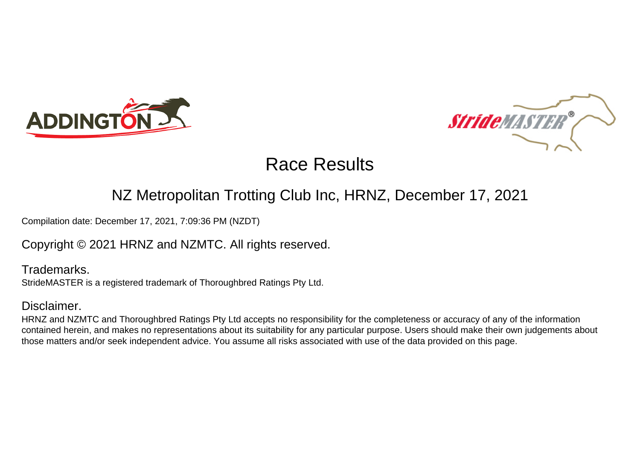



### NZ Metropolitan Trotting Club Inc, HRNZ, December 17, 2021

Compilation date: December 17, 2021, 7:09:36 PM (NZDT)

### Copyright © 2021 HRNZ and NZMTC. All rights reserved.

Trademarks. StrideMASTER is a registered trademark of Thoroughbred Ratings Pty Ltd.

### Disclaimer.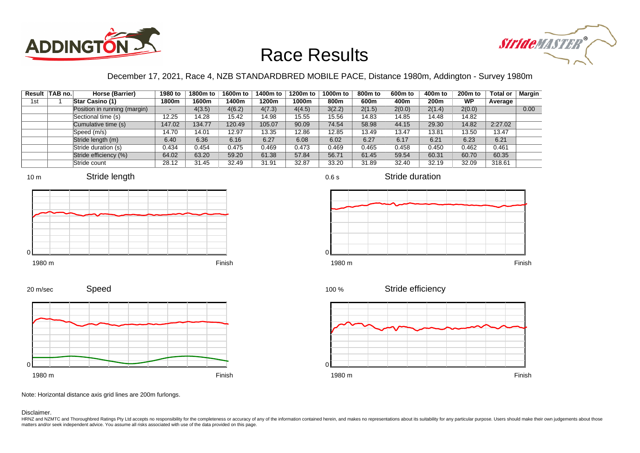



### December 17, 2021, Race 4, NZB STANDARDBRED MOBILE PACE, Distance 1980m, Addington - Survey 1980m

|     | Result TAB no. | Horse (Barrier)              | 1980 to                  | 1800m to | 1600m to | 1400m to | 1200m to | 1000m to | 800m to | 600 <sub>m</sub> to | 400m to | 200 <sub>m</sub> to | <b>Total or</b> | <b>Margin</b> |
|-----|----------------|------------------------------|--------------------------|----------|----------|----------|----------|----------|---------|---------------------|---------|---------------------|-----------------|---------------|
| 1st |                | <b>Star Casino (1)</b>       | 1800m                    | 1600m    | 1400m    | 1200m    | 1000m    | 800m     | 600m    | 400m                | 200m    | <b>WP</b>           | Average         |               |
|     |                | Position in running (margin) | $\overline{\phantom{0}}$ | 4(3.5)   | 4(6.2)   | 4(7.3)   | 4(4.5)   | 3(2.2)   | 2(1.5)  | 2(0.0)              | 2(1.4)  | 2(0.0)              |                 | 0.00          |
|     |                | Sectional time (s)           | 12.25                    | 14.28    | 15.42    | 14.98    | 15.55    | 15.56    | 14.83   | 14.85               | 14.48   | 14.82               |                 |               |
|     |                | Cumulative time (s)          | 147.02                   | 134.77   | 120.49   | 105.07   | 90.09    | 74.54    | 58.98   | 44.15               | 29.30   | 14.82               | 2:27.02         |               |
|     |                | Speed (m/s)                  | 14.70                    | 14.01    | 12.97    | 13.35    | 12.86    | 12.85    | 13.49   | 13.47               | 13.81   | 13.50               | 13.47           |               |
|     |                | Stride length (m)            | 6.40                     | 6.36     | 6.16     | 6.27     | 6.08     | 6.02     | 6.27    | 6.17                | 6.21    | 6.23                | 6.21            |               |
|     |                | Stride duration (s)          | 0.434                    | 0.454    | 0.475    | 0.469    | 0.473    | 0.469    | 0.465   | 0.458               | 0.450   | 0.462               | 0.461           |               |
|     |                | Stride efficiency (%)        | 64.02                    | 63.20    | 59.20    | 61.38    | 57.84    | 56.71    | 61.45   | 59.54               | 60.31   | 60.70               | 60.35           |               |
|     |                | Stride count                 | 28.12                    | 31.45    | 32.49    | 31.91    | 32.87    | 33.20    | 31.89   | 32.40               | 32.19   | 32.09               | 318.61          |               |









Stride duration











Note: Horizontal distance axis grid lines are 200m furlongs.

Disclaimer.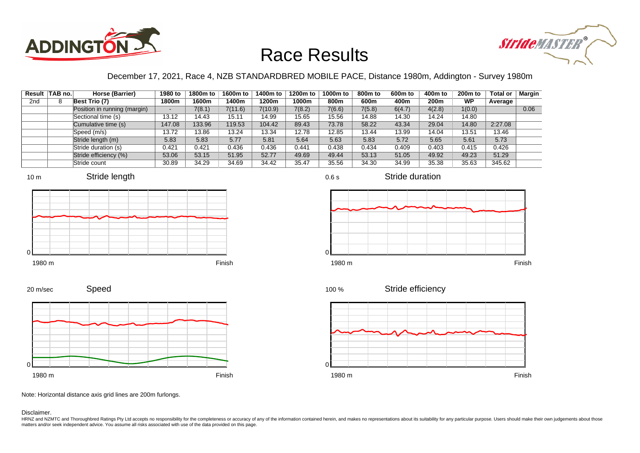



### December 17, 2021, Race 4, NZB STANDARDBRED MOBILE PACE, Distance 1980m, Addington - Survey 1980m

|     | Result TAB no. | Horse (Barrier)              | 1980 to | 1800m to | 1600m to | 1400m to | 1200m to | 1000m to | 800m to | 600 <sub>m</sub> to | 400m to          | 200 <sub>m</sub> to | <b>Total or</b> | Margin |
|-----|----------------|------------------------------|---------|----------|----------|----------|----------|----------|---------|---------------------|------------------|---------------------|-----------------|--------|
| 2nd |                | Best Trio (7)                | 1800m   | 1600m    | 1400m    | 1200m    | 1000m    | 800m     | 600m    | 400m                | 200 <sub>m</sub> | <b>WP</b>           | Average         |        |
|     |                | Position in running (margin) |         | 7(8.1)   | 7(11.6)  | 7(10.9)  | 7(8.2)   | 7(6.6)   | 7(5.8)  | 6(4.7)              | 4(2.8)           | 1(0.0)              |                 | 0.06   |
|     |                | Sectional time (s)           | 13.12   | 14.43    | 15.11    | 14.99    | 15.65    | 15.56    | 14.88   | 14.30               | 14.24            | 14.80               |                 |        |
|     |                | Cumulative time (s)          | 147.08  | 133.96   | 119.53   | 104.42   | 89.43    | 73.78    | 58.22   | 43.34               | 29.04            | 14.80               | 2:27.08         |        |
|     |                | Speed (m/s)                  | 13.72   | 13.86    | 13.24    | 13.34    | 12.78    | 12.85    | 13.44   | 13.99               | 14.04            | 13.51               | 13.46           |        |
|     |                | Stride length (m)            | 5.83    | 5.83     | 5.77     | 5.81     | 5.64     | 5.63     | 5.83    | 5.72                | 5.65             | 5.61                | 5.73            |        |
|     |                | Stride duration (s)          | 0.421   | 0.421    | 0.436    | 0.436    | 0.441    | 0.438    | 0.434   | 0.409               | 0.403            | 0.415               | 0.426           |        |
|     |                | Stride efficiency (%)        | 53.06   | 53.15    | 51.95    | 52.77    | 49.69    | 49.44    | 53.13   | 51.05               | 49.92            | 49.23               | 51.29           |        |
|     |                | Stride count                 | 30.89   | 34.29    | 34.69    | 34.42    | 35.47    | 35.56    | 34.30   | 34.99               | 35.38            | 35.63               | 345.62          |        |







Stride duration













Note: Horizontal distance axis grid lines are 200m furlongs.

#### Disclaimer.

20 m/sec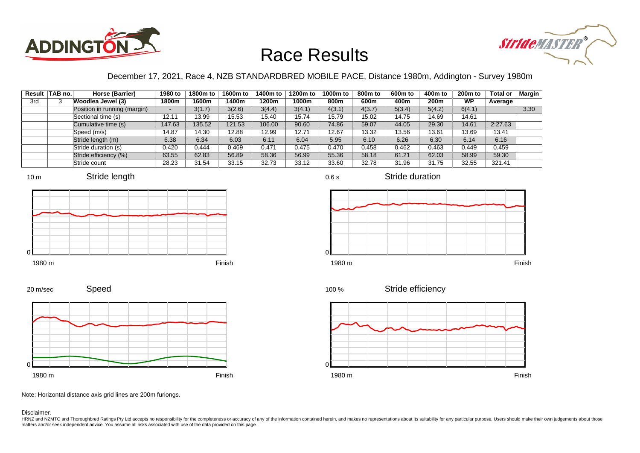



### December 17, 2021, Race 4, NZB STANDARDBRED MOBILE PACE, Distance 1980m, Addington - Survey 1980m

|     | Result TAB no. | Horse (Barrier)              | 1980 to | 1800m to | 1600m to | 1400m to | 1200m to | 1000m to | 800m to | 600 <sub>m</sub> to | 400m to | 200 <sub>m</sub> to | <b>Total or</b> | Margin |
|-----|----------------|------------------------------|---------|----------|----------|----------|----------|----------|---------|---------------------|---------|---------------------|-----------------|--------|
| 3rd |                | Woodlea Jewel (3)            | 1800m   | 1600m    | 1400m    | 1200m    | 1000m    | 800m     | 600m    | 400m                | 200m    | WP                  | Average         |        |
|     |                | Position in running (margin) |         | 3(1.7)   | 3(2.6)   | 3(4.4)   | 3(4.1)   | 4(3.1)   | 4(3.7)  | 5(3.4)              | 5(4.2)  | 6(4.1)              |                 | 3.30   |
|     |                | Sectional time (s)           | 12.11   | 13.99    | 15.53    | 15.40    | 15.74    | 15.79    | 15.02   | 14.75               | 14.69   | 14.61               |                 |        |
|     |                | Cumulative time (s)          | 147.63  | 135.52   | 121.53   | 106.00   | 90.60    | 74.86    | 59.07   | 44.05               | 29.30   | 14.61               | 2:27.63         |        |
|     |                | Speed (m/s)                  | 14.87   | 14.30    | 12.88    | 12.99    | 12.71    | 12.67    | 13.32   | 13.56               | 13.61   | 13.69               | 13.41           |        |
|     |                | Stride length (m)            | 6.38    | 6.34     | 6.03     | 6.11     | 6.04     | 5.95     | 6.10    | 6.26                | 6.30    | 6.14                | 6.16            |        |
|     |                | Stride duration (s)          | 0.420   | 0.444    | 0.469    | 0.471    | 0.475    | 0.470    | 0.458   | 0.462               | 0.463   | 0.449               | 0.459           |        |
|     |                | Stride efficiency (%)        | 63.55   | 62.83    | 56.89    | 58.36    | 56.99    | 55.36    | 58.18   | 61.21               | 62.03   | 58.99               | 59.30           |        |
|     |                | Stride count                 | 28.23   | 31.54    | 33.15    | 32.73    | 33.12    | 33.60    | 32.78   | 31.96               | 31.75   | 32.55               | 321.41          |        |









Stride duration







Speed 20 m/sec



Note: Horizontal distance axis grid lines are 200m furlongs.

#### Disclaimer.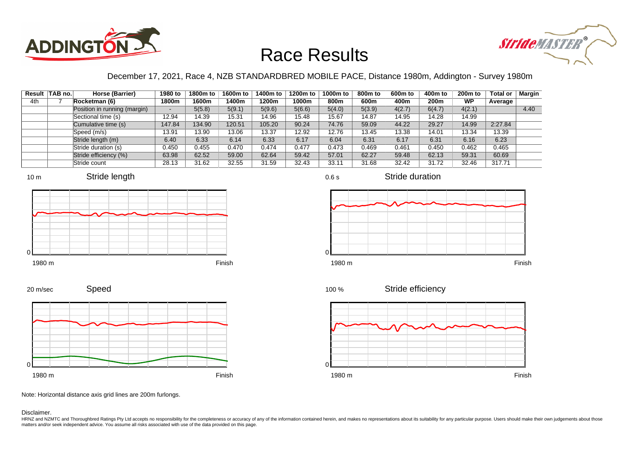



### December 17, 2021, Race 4, NZB STANDARDBRED MOBILE PACE, Distance 1980m, Addington - Survey 1980m

|     | Result TAB no. | Horse (Barrier)              | 1980 to | 1800m to | 1600m to | 1400m to | 1200m to | 1000m to | 800m to | 600 <sub>m</sub> to | 400m to | 200 <sub>m</sub> to | <b>Total or</b> | <b>Margin</b> |
|-----|----------------|------------------------------|---------|----------|----------|----------|----------|----------|---------|---------------------|---------|---------------------|-----------------|---------------|
| 4th |                | Rocketman (6)                | 1800m   | 1600m    | 1400m    | 1200m    | 1000m    | 800m     | 600m    | 400m                | 200m    | WP                  | Average         |               |
|     |                | Position in running (margin) |         | 5(5.8)   | 5(9.1)   | 5(9.6)   | 5(6.6)   | 5(4.0)   | 5(3.9)  | 4(2.7)              | 6(4.7)  | 4(2.1)              |                 | 4.40          |
|     |                | Sectional time (s)           | 12.94   | 14.39    | 15.31    | 14.96    | 15.48    | 15.67    | 14.87   | 14.95               | 14.28   | 14.99               |                 |               |
|     |                | Cumulative time (s)          | 147.84  | 134.90   | 120.51   | 105.20   | 90.24    | 74.76    | 59.09   | 44.22               | 29.27   | 14.99               | 2:27.84         |               |
|     |                | Speed (m/s)                  | 13.91   | 13.90    | 13.06    | 13.37    | 12.92    | 12.76    | 13.45   | 13.38               | 14.01   | 13.34               | 13.39           |               |
|     |                | Stride length (m)            | 6.40    | 6.33     | 6.14     | 6.33     | 6.17     | 6.04     | 6.31    | 6.17                | 6.31    | 6.16                | 6.23            |               |
|     |                | Stride duration (s)          | 0.450   | 0.455    | 0.470    | 0.474    | 0.477    | 0.473    | 0.469   | 0.461               | 0.450   | 0.462               | 0.465           |               |
|     |                | Stride efficiency (%)        | 63.98   | 62.52    | 59.00    | 62.64    | 59.42    | 57.01    | 62.27   | 59.48               | 62.13   | 59.31               | 60.69           |               |
|     |                | Stride count                 | 28.13   | 31.62    | 32.55    | 31.59    | 32.43    | 33.11    | 31.68   | 32.42               | 31.72   | 32.46               | 317.71          |               |









Stride duration





Speed 20 m/sec



Note: Horizontal distance axis grid lines are 200m furlongs.

Disclaimer.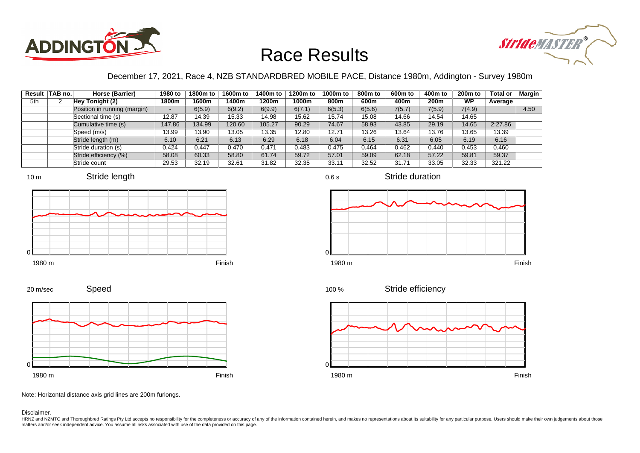



### December 17, 2021, Race 4, NZB STANDARDBRED MOBILE PACE, Distance 1980m, Addington - Survey 1980m

|     | Result TAB no. | Horse (Barrier)              | 1980 to | 1800m to | 1600m to | 1400m to | 1200m to | 1000m to | 800m to | 600 <sub>m</sub> to | 400m to          | $200m$ to | <b>Total or</b> | Margin |
|-----|----------------|------------------------------|---------|----------|----------|----------|----------|----------|---------|---------------------|------------------|-----------|-----------------|--------|
| 5th |                | Hey Tonight (2)              | 1800m   | 1600m    | 1400m    | 1200m    | 1000m    | 800m     | 600m    | 400m                | 200 <sub>m</sub> | <b>WP</b> | Average         |        |
|     |                | Position in running (margin) |         | 6(5.9)   | 6(9.2)   | 6(9.9)   | 6(7.1)   | 6(5.3)   | 6(5.6)  | 7(5.7)              | 7(5.9)           | 7(4.9)    |                 | 4.50   |
|     |                | Sectional time (s)           | 12.87   | 14.39    | 15.33    | 14.98    | 15.62    | 15.74    | 15.08   | 14.66               | 14.54            | 14.65     |                 |        |
|     |                | Cumulative time (s)          | 147.86  | 134.99   | 120.60   | 105.27   | 90.29    | 74.67    | 58.93   | 43.85               | 29.19            | 14.65     | 2:27.86         |        |
|     |                | Speed (m/s)                  | 13.99   | 13.90    | 13.05    | 13.35    | 12.80    | 12.71    | 13.26   | 13.64               | 13.76            | 13.65     | 13.39           |        |
|     |                | Stride length (m)            | 6.10    | 6.21     | 6.13     | 6.29     | 6.18     | 6.04     | 6.15    | 6.31                | 6.05             | 6.19      | 6.16            |        |
|     |                | Stride duration (s)          | 0.424   | 0.447    | 0.470    | 0.471    | 0.483    | 0.475    | 0.464   | 0.462               | 0.440            | 0.453     | 0.460           |        |
|     |                | Stride efficiency (%)        | 58.08   | 60.33    | 58.80    | 61.74    | 59.72    | 57.01    | 59.09   | 62.18               | 57.22            | 59.81     | 59.37           |        |
|     |                | Stride count                 | 29.53   | 32.19    | 32.61    | 31.82    | 32.35    | 33.11    | 32.52   | 31.71               | 33.05            | 32.33     | 321.22          |        |













Speed 20 m/sec



Note: Horizontal distance axis grid lines are 200m furlongs.

Disclaimer.

HRNZ and NZMTC and Thoroughbred Ratings Pty Ltd accepts no responsibility for the completeness or accuracy of any of the information contained herein, and makes no representations about its suitability for any particular p matters and/or seek independent advice. You assume all risks associated with use of the data provided on this page.

0.6 s

Stride duration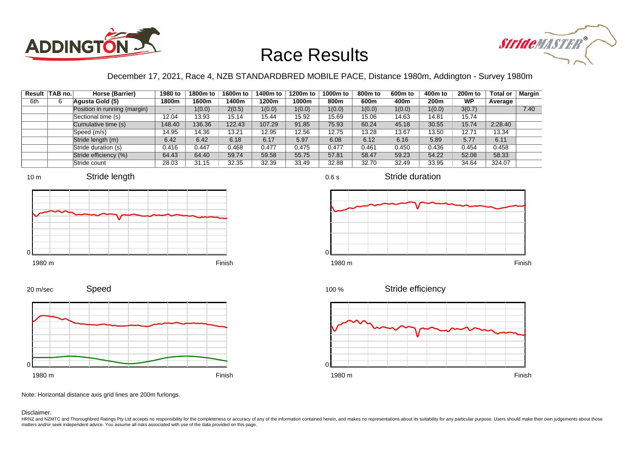



### December 17, 2021, Race 4, NZB STANDARDBRED MOBILE PACE, Distance 1980m, Addington - Survey 1980m

|     | Result TAB no. | Horse (Barrier)              | 1980 to | 1800m to | 1600m to | 1400m to | 1200m to | 1000m to | 800m to | 600 <sub>m</sub> to | 400m to          | $200m$ to | <b>Total or</b> | Margin |
|-----|----------------|------------------------------|---------|----------|----------|----------|----------|----------|---------|---------------------|------------------|-----------|-----------------|--------|
| 6th | 6              | Aqusta Gold (5)              | 1800m   | 1600m    | 1400m    | 1200m    | 1000m    | 800m     | 600m    | 400m                | 200 <sub>m</sub> | <b>WP</b> | Average         |        |
|     |                | Position in running (margin) |         | 1(0.0)   | 2(0.5)   | 1(0.0)   | 1(0.0)   | 1(0.0)   | 1(0.0)  | 1(0.0)              | 1(0.0)           | 3(0.7)    |                 | 7.40   |
|     |                | Sectional time (s)           | 12.04   | 13.93    | 15.14    | 15.44    | 15.92    | 15.69    | 15.06   | 14.63               | 14.81            | 15.74     |                 |        |
|     |                | Cumulative time (s)          | 148.40  | 136.36   | 122.43   | 107.29   | 91.85    | 75.93    | 60.24   | 45.18               | 30.55            | 15.74     | 2:28.40         |        |
|     |                | Speed (m/s)                  | 14.95   | 14.36    | 13.21    | 12.95    | 12.56    | 12.75    | 13.28   | 13.67               | 13.50            | 12.71     | 13.34           |        |
|     |                | Stride length (m)            | 6.42    | 6.42     | 6.18     | 6.17     | 5.97     | 6.08     | 6.12    | 6.16                | 5.89             | 5.77      | 6.11            |        |
|     |                | Stride duration (s)          | 0.416   | 0.447    | 0.468    | 0.477    | 0.475    | 0.477    | 0.461   | 0.450               | 0.436            | 0.454     | 0.458           |        |
|     |                | Stride efficiency (%)        | 64.43   | 64.40    | 59.74    | 59.58    | 55.75    | 57.81    | 58.47   | 59.23               | 54.22            | 52.08     | 58.33           |        |
|     |                | Stride count                 | 28.03   | 31.15    | 32.35    | 32.39    | 33.49    | 32.88    | 32.70   | 32.49               | 33.95            | 34.64     | 324.07          |        |











Stride efficiency 100 %



Note: Horizontal distance axis grid lines are 200m furlongs.

#### Disclaimer.